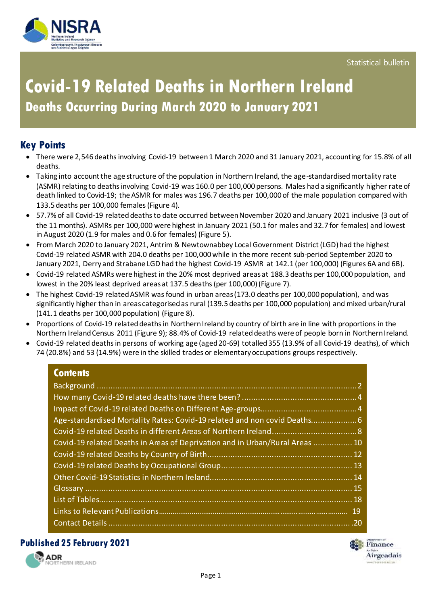

# **Covid-19 Related Deaths in Northern Ireland Deaths Occurring During March 2020 to January 2021**

# **Key Points**

- There were 2,546 deaths involving Covid-19 between 1 March 2020 and 31 January 2021, accounting for 15.8% of all deaths.
- Taking into account the age structure of the population in Northern Ireland, the age-standardised mortality rate (ASMR) relating to deaths involving Covid-19 was 160.0 per 100,000 persons. Males had a significantly higher rate of death linked to Covid-19; the ASMR for males was 196.7 deaths per 100,000 of the male population compared with 133.5 deaths per 100,000 females (Figure 4).
- 57.7% of all Covid-19 relateddeaths to date occurred between November 2020 and January 2021 inclusive (3 out of the 11 months). ASMRs per 100,000 were highest in January 2021 (50.1 for males and 32.7 for females) and lowest in August 2020 (1.9 for males and 0.6 for females) (Figure 5).
- From March 2020 to January 2021, Antrim & Newtownabbey Local Government District (LGD) had the highest Covid-19 related ASMR with 204.0 deaths per 100,000 while in the more recent sub-period September 2020 to January 2021, Derry and Strabane LGD had the highest Covid-19 ASMR at 142.1 (per 100,000) (Figures 6A and 6B).
- Covid-19 related ASMRs were highest in the 20% most deprived areas at 188.3 deaths per 100,000 population, and lowest in the 20% least deprived areas at 137.5 deaths (per 100,000) (Figure 7).
- The highest Covid-19 related ASMR was found in urban areas (173.0 deaths per 100,000 population), and was significantly higher than in areas categorised as rural (139.5 deaths per 100,000 population) and mixed urban/rural (141.1 deaths per 100,000 population) (Figure 8).
- Proportions of Covid-19 related deaths in Northern Ireland by country of birth are in line with proportions in the Northern Ireland Census 2011 (Figure 9); 88.4% of Covid-19 related deaths were of people born in Northern Ireland.
- Covid-19 related deaths in persons of working age (aged 20-69) totalled 355 (13.9% of all Covid-19 deaths), of which 74 (20.8%) and 53 (14.9%) were in the skilled trades or elementary occupations groups respectively.

## **Contents**

| Age-standardised Mortality Rates: Covid-19 related and non covid Deaths6     |  |
|------------------------------------------------------------------------------|--|
|                                                                              |  |
| Covid-19 related Deaths in Areas of Deprivation and in Urban/Rural Areas  10 |  |
|                                                                              |  |
|                                                                              |  |
|                                                                              |  |
|                                                                              |  |
|                                                                              |  |
|                                                                              |  |
|                                                                              |  |

### **Published 25 February 2021**



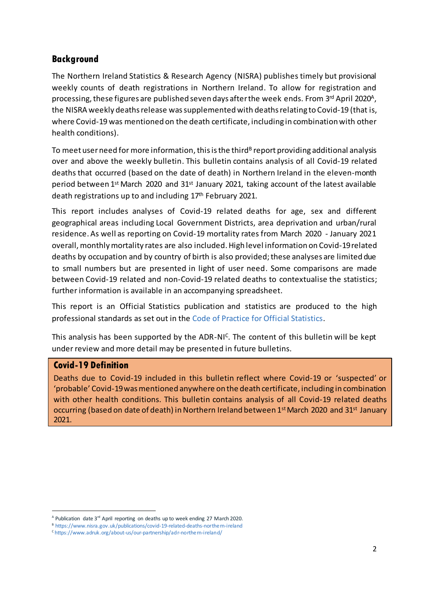### <span id="page-1-0"></span>**Background**

The Northern Ireland Statistics & Research Agency (NISRA) publishes timely but provisional weekly counts of [death registrations in Northern Ireland.](https://www.nisra.gov.uk/publications/weekly-deaths) To allow for registration and processing, these figures are published seven days after the week <code>ends.From</code> 3<sup>rd</sup> April 2020<sup>A</sup>, the NISRA weekly deaths release wassupplemented with deaths relating to Covid-19 (that is, where Covid-19 was mentioned on the death certificate, including in combination with other health conditions).

To meet user need for more information, this is the third<sup>B</sup> report providing additional analysis over and above the weekly bulletin. This bulletin contains analysis of all Covid-19 related deaths that occurred (based on the date of death) in Northern Ireland in the eleven-month period between 1st March 2020 and 31st January 2021, taking account of the latest available death registrations up to and including 17<sup>th</sup> February 2021.

This report includes analyses of Covid-19 related deaths for age, sex and different geographical areas including Local Government Districts, area deprivation and urban/rural residence. As well as reporting on Covid-19 mortality rates from March 2020 - January 2021 overall, monthly mortality rates are also included.High level information on Covid-19related deaths by occupation and by country of birth is also provided; these analyses are limited due to small numbers but are presented in light of user need. Some comparisons are made between Covid-19 related and non-Covid-19 related deaths to contextualise the statistics; further information is available in an accompanying spreadsheet.

This report is an Official Statistics publication and statistics are produced to the high professional standards as set out in th[e Code of Practice for Official Statistics](https://www.statisticsauthority.gov.uk/code-of-practice/).

This analysis has been supported by the ADR-NI<sup>C</sup>. The content of this bulletin will be kept under review and more detail may be presented in future bulletins.

#### **Covid-19 Definition**

1

Deaths due to Covid-19 included in this bulletin reflect where Covid-19 or 'suspected' or 'probable' Covid-19 was mentioned anywhere on the death certificate, including in combination with other health conditions. This bulletin contains analysis of all Covid-19 related deaths occurring (based on date of death) in Northern Ireland between 1st March 2020 and 31st January 2021.

<sup>&</sup>lt;sup>A</sup> Publication date 3<sup>rd</sup> April reporting on deaths up to week ending 27 March 2020.

<sup>&</sup>lt;sup>B</sup> <https://www.nisra.gov.uk/publications/covid-19-related-deaths-northern-ireland>

<sup>&</sup>lt;sup>c</sup> https://www.adruk.org/about-us/our-partnership/adr-northe rn-ireland/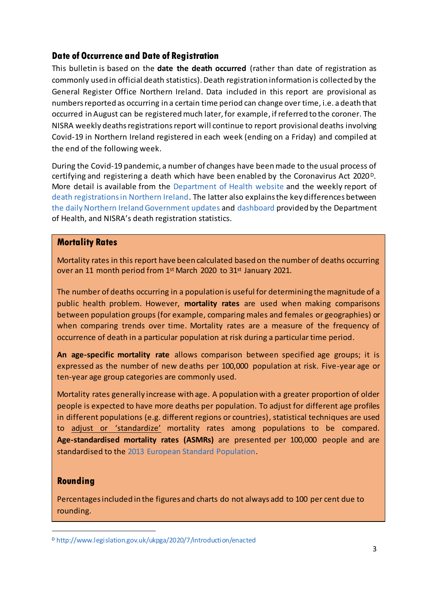### **Date of Occurrence and Date of Registration**

This bulletin is based on the **date the death occurred** (rather than date of registration as commonly used in official death statistics). Death registration information is collected by the General Register Office Northern Ireland. Data included in this report are provisional as numbers reported as occurring in a certain time period can change over time, i.e. a death that occurred in August can be registered much later, for example, ifreferred to the coroner. The NISRA weekly deaths registrations report will continue to report provisional deaths involving Covid-19 in Northern Ireland registered in each week (ending on a Friday) and compiled at the end of the following week.

During the Covid-19 pandemic, a number of changes have been made to the usual process of certifying and registering a death which have been enabled by the Coronavirus Act 2020<sup>D</sup>. More detail is available from the [Department of Health website](https://www.health-ni.gov.uk/publications/covid-19-guidance-surrounding-death) and the weekly report of [death registrations in Northern Ireland.](https://www.nisra.gov.uk/publications/weekly-deaths) The latter also explains the key differences between [the daily Northern Ireland Government updates a](https://www.health-ni.gov.uk/news)nd [dashboard](https://app.powerbi.com/view?r=eyJrIjoiZGYxNjYzNmUtOTlmZS00ODAxLWE1YTEtMjA0NjZhMzlmN2JmIiwidCI6IjljOWEzMGRlLWQ4ZDctNGFhNC05NjAwLTRiZTc2MjVmZjZjNSIsImMiOjh9) provided by the Department of Health, and NISRA's death registration statistics.

#### **Mortality Rates**

Mortality rates in this report have been calculated based on the number of deaths occurring over an 11 month period from 1<sup>st</sup> March 2020 to 31<sup>st</sup> January 2021.

The number of deaths occurring in a population is useful for determining the magnitude of a public health problem. However, **mortality rates** are used when making comparisons between population groups (for example, comparing males and females or geographies) or when comparing trends over time. Mortality rates are a measure of the frequency of occurrence of death in a particular population at risk during a particular time period.

**An age-specific mortality rate** allows comparison between specified age groups; it is expressed as the number of new deaths per 100,000 population at risk. Five-year age or ten-year age group categories are commonly used.

Mortality rates generally increase with age. A population with a greater proportion of older people is expected to have more deaths per population. To adjust for different age profiles in different populations (e.g. different regions or countries), statistical techniques are used to adjust or 'standardize' mortality rates among populations to be compared. **Age-standardised mortality rates (ASMRs)** are presented per 100,000 people and are standardised to the [2013 European Standard Population.](https://ec.europa.eu/eurostat/documents/3859598/5926869/KS-RA-13-028-EN.PDF)

### **Rounding**

 $\overline{a}$ 

Percentages included in the figures and charts do not always add to 100 per cent due to rounding.

<sup>D</sup> <http://www.legislation.gov.uk/ukpga/2020/7/introduction/enacted>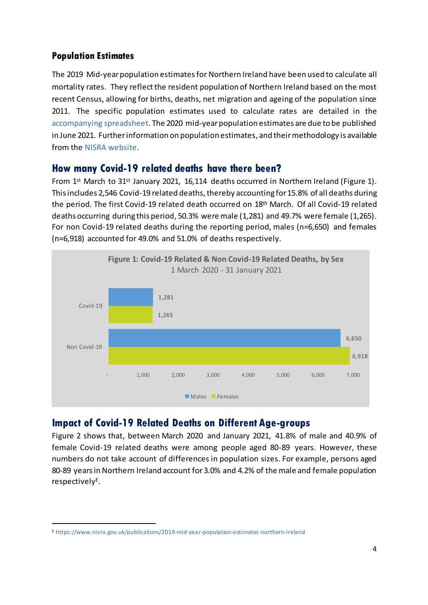### **Population Estimates**

The 2019 Mid-year population estimates for Northern Ireland have been used to calculate all mortality rates. They reflect the resident population of Northern Ireland based on the most recent Census, allowing for births, deaths, net migration and ageing of the population since 2011. The specific population estimates used to calculate rates are detailed in the [accompanying spreadsheet.](https://www.nisra.gov.uk/publications/covid-19-related-deaths-northern-ireland) The 2020 mid-year population estimates are due to be published in June 2021. Furtherinformation o[n population estimates](http://www.ons.gov.uk/peoplepopulationandcommunity/populationandmigration/populationestimates), and their methodology is available from the [NISRA website](https://www.nisra.gov.uk/publications/2019-mid-year-population-estimates-northern-ireland).

### <span id="page-3-0"></span>**How many Covid-19 related deaths have there been?**

From 1<sup>st</sup> March to 31<sup>st</sup> January 2021, 16,114 deaths occurred in Northern Ireland (Figure 1). This includes 2,546 Covid-19 related deaths, thereby accounting for 15.8% of all deaths during the period. The first Covid-19 related death occurred on 18<sup>th</sup> March. Of all Covid-19 related deaths occurring during this period, 50.3% were male (1,281) and 49.7% were female (1,265). For non Covid-19 related deaths during the reporting period, males (n=6,650) and females (n=6,918) accounted for 49.0% and 51.0% of deaths respectively.

<span id="page-3-1"></span>

## **Impact of Covid-19 Related Deaths on Different Age-groups**

Figure 2 shows that, between March 2020 and January 2021, 41.8% of male and 40.9% of female Covid-19 related deaths were among people aged 80-89 years. However, these numbers do not take account of differences in population sizes. For example, persons aged 80-89 years in Northern Ireland account for 3.0% and 4.2% of the male and female population respectively<sup>E</sup> .

<sup>E</sup> <https://www.nisra.gov.uk/publications/2019-mid-year-population-estimates-northern-ireland>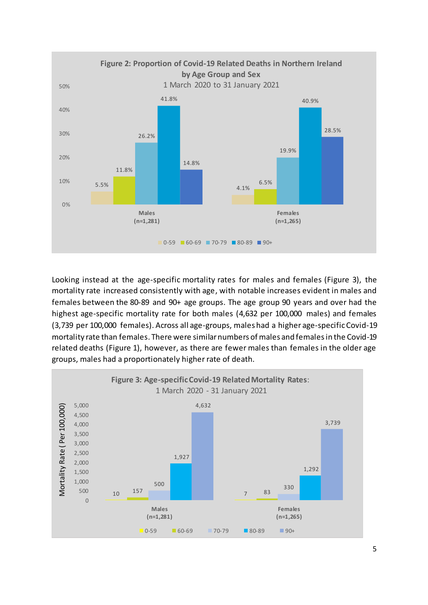

Looking instead at the age-specific mortality rates for males and females (Figure 3), the mortality rate increased consistently with age, with notable increases evident in males and females between the 80-89 and 90+ age groups. The age group 90 years and over had the highest age-specific mortality rate for both males (4,632 per 100,000 males) and females (3,739 per 100,000 females). Across all age-groups, males had a higher age-specificCovid-19 mortality rate than females. There were similarnumbers of males and females in the Covid-19 related deaths (Figure 1), however, as there are fewer males than females in the older age groups, males had a proportionately higher rate of death.

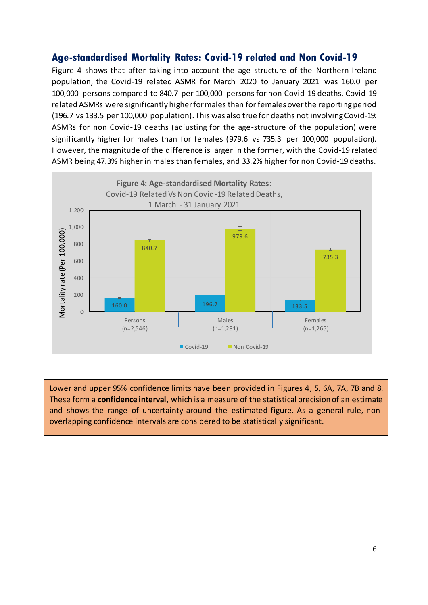## <span id="page-5-0"></span>**Age-standardised Mortality Rates: Covid-19 related and Non Covid-19**

Figure 4 shows that after taking into account the age structure of the Northern Ireland population, the Covid-19 related ASMR for March 2020 to January 2021 was 160.0 per 100,000 persons compared to 840.7 per 100,000 persons for non Covid-19 deaths. Covid-19 related ASMRs were significantly higher for males than for females over the reporting period (196.7 vs 133.5 per 100,000 population). This was also true for deaths not involving Covid-19: ASMRs for non Covid-19 deaths (adjusting for the age-structure of the population) were significantly higher for males than for females (979.6 vs 735.3 per 100,000 population). However, the magnitude of the difference is larger in the former, with the Covid-19 related ASMR being 47.3% higher in males than females, and 33.2% higher for non Covid-19 deaths.



Lower and upper 95% confidence limits have been provided in Figures 4, 5, 6A, 7A, 7B and 8. These form a **confidence interval**, which is a measure of the statistical precision of an estimate and shows the range of uncertainty around the estimated figure. As a general rule, nonoverlapping confidence intervals are considered to be statistically significant.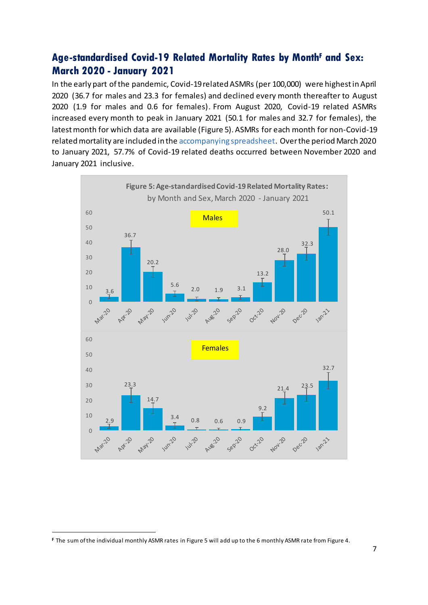# **Age-standardised Covid-19 Related Mortality Rates by Month<sup>F</sup> and Sex: March 2020 - January 2021**

In the early part of the pandemic, Covid-19related ASMRs (per 100,000) were highest in April 2020 (36.7 for males and 23.3 for females) and declined every month thereafter to August 2020 (1.9 for males and 0.6 for females). From August 2020, Covid-19 related ASMRs increased every month to peak in January 2021 (50.1 for males and 32.7 for females), the latest month for which data are available (Figure 5). ASMRs for each month for non-Covid-19 related mortality are included in th[e accompanying spreadsheet](https://www.nisra.gov.uk/publications/covid-19-related-deaths-northern-ireland). Over the period March 2020 to January 2021, 57.7% of Covid-19 related deaths occurred between November 2020 and January 2021 inclusive.

<span id="page-6-0"></span>

**<sup>F</sup>** The sum of the individual monthly ASMR rates in Figure 5 will add up to the 6 monthly ASMR rate from Figure 4.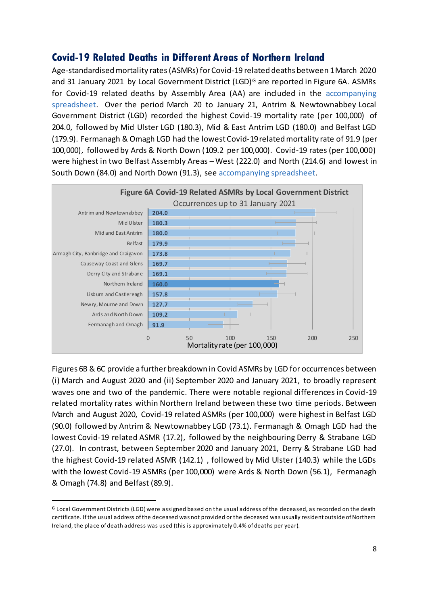## **Covid-19 Related Deaths in Different Areas of Northern Ireland**

Age-standardised mortality rates(ASMRs) for Covid-19 related deaths between 1 March 2020 and 31 January 2021 by Local Government District (LGD)<sup>G</sup> are reported in Figure 6A. ASMRs for Covid-19 related deaths by Assembly Area (AA) are included in the [accompanying](https://www.nisra.gov.uk/publications/covid-19-related-deaths-northern-ireland)  [spreadsheet.](https://www.nisra.gov.uk/publications/covid-19-related-deaths-northern-ireland) Over the period March 20 to January 21, Antrim & Newtownabbey Local Government District (LGD) recorded the highest Covid-19 mortality rate (per 100,000) of 204.0, followed by Mid Ulster LGD (180.3), Mid & East Antrim LGD (180.0) and Belfast LGD (179.9). Fermanagh & Omagh LGD had the lowest Covid-19 related mortality rate of 91.9 (per 100,000), followed by Ards & North Down (109.2 per 100,000). Covid-19 rates (per 100,000) were highest in two Belfast Assembly Areas – West (222.0) and North (214.6) and lowest in South Down (84.0) and North Down (91.3), se[e accompanying spreadsheet](https://www.nisra.gov.uk/publications/covid-19-related-deaths-northern-ireland).



Figures 6B & 6C provide a further breakdown in Covid ASMRs by LGD for occurrences between (i) March and August 2020 and (ii) September 2020 and January 2021, to broadly represent waves one and two of the pandemic. There were notable regional differences in Covid-19 related mortality rates within Northern Ireland between these two time periods. Between March and August 2020, Covid-19 related ASMRs (per 100,000) were highest in Belfast LGD (90.0) followed by Antrim & Newtownabbey LGD (73.1). Fermanagh & Omagh LGD had the lowest Covid-19 related ASMR (17.2), followed by the neighbouring Derry & Strabane LGD (27.0). In contrast, between September 2020 and January 2021, Derry & Strabane LGD had the highest Covid-19 related ASMR (142.1) , followed by Mid Ulster (140.3) while the LGDs with the lowest Covid-19 ASMRs (per 100,000) were Ards & North Down (56.1), Fermanagh & Omagh (74.8) and Belfast (89.9).

**<sup>G</sup>** Local Government Districts (LGD) were assigned based on the usual address of the deceased, as recorded on the death certificate. If the usual address of the deceased was not provided or the deceased was usually resident outside of Northern Ireland, the place of death address was used (this is approximately 0.4% of deaths per year).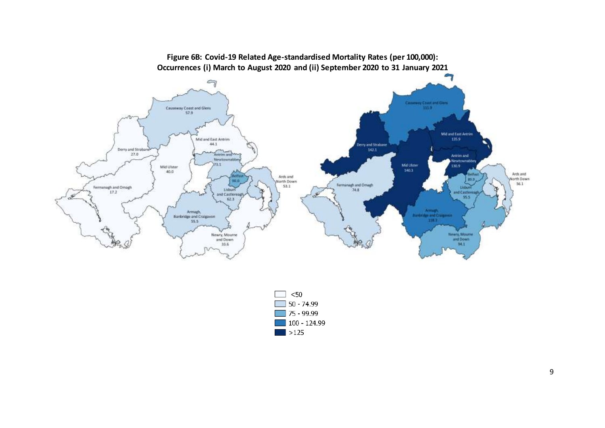



9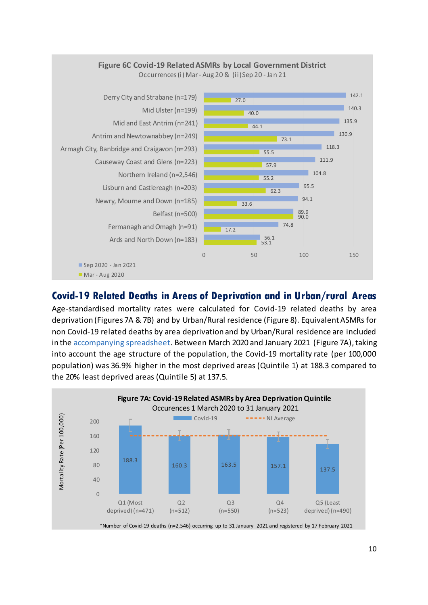<span id="page-9-0"></span>

### **Covid-19 Related Deaths in Areas of Deprivation and in Urban/rural Areas**

Age-standardised mortality rates were calculated for Covid-19 related deaths by area deprivation (Figures 7A & 7B) and by Urban/Rural residence (Figure 8). Equivalent ASMRs for non Covid-19 related deaths by area deprivation and by Urban/Rural residence are included in the [accompanying spreadsheet](https://www.nisra.gov.uk/publications/covid-19-related-deaths-northern-ireland). Between March 2020 and January 2021 (Figure 7A), taking into account the age structure of the population, the Covid-19 mortality rate (per 100,000 population) was 36.9% higher in the most deprived areas (Quintile 1) at 188.3 compared to the 20% least deprived areas (Quintile 5) at 137.5.

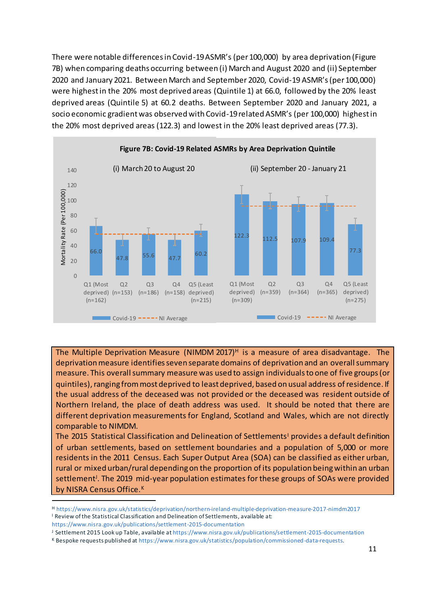There were notable differences in Covid-19ASMR's (per 100,000) by area deprivation (Figure 7B) when comparing deaths occurring between (i) March and August 2020 and (ii) September 2020 and January 2021. Between March and September 2020, Covid-19 ASMR's (per 100,000) were highest in the 20% most deprived areas (Quintile 1) at 66.0, followed by the 20% least deprived areas (Quintile 5) at 60.2 deaths. Between September 2020 and January 2021, a socio economic gradient was observed with Covid-19related ASMR's (per 100,000) highest in the 20% most deprived areas (122.3) and lowest in the 20% least deprived areas (77.3).



The Multiple Deprivation Measure (NIMDM 2017) $H$  is a measure of area disadvantage. The deprivation measure identifies seven separate domains of deprivation and an overall summary measure. This overall summary measure was used to assign individuals to one of five groups (or quintiles), ranging from most deprived to least deprived, based on usual address of residence. If the usual address of the deceased was not provided or the deceased was resident outside of Northern Ireland, the place of death address was used. It should be noted that there are different deprivation measurements for England, Scotland and Wales, which are not directly comparable to NIMDM.

The 2015 Statistical Classification and Delineation of Settlements<sup>1</sup> provides a default definition of urban settlements, based on settlement boundaries and a population of 5,000 or more residents in the 2011 Census. Each Super Output Area (SOA) can be classified as either urban, rural or mixed urban/rural depending on the proportion of its population being within an urban settlement<sup>J</sup>. The 2019 mid-year population estimates for these groups of SOAs were provided by NISRA Census Office.<sup>K</sup>

<sup>H</sup> <https://www.nisra.gov.uk/statistics/deprivation/northern-ireland-multiple-deprivation-measure-2017-nimdm2017> <sup>I</sup> Review of the Statistical Classification and Delineation of Settlements, available at:

<https://www.nisra.gov.uk/publications/settlement-2015-documentation>

<sup>J</sup> Settlement 2015 Look up Table, available a[t https://www.nisra.gov.uk/publications/settlement-2015-documentation](https://www.nisra.gov.uk/publications/settlement-2015-documentation)

<sup>K</sup> Bespoke requests published a[t https://www.nisra.gov.uk/statistics/population/commissioned-data-requests](https://www.nisra.gov.uk/statistics/population/commissioned-data-requests).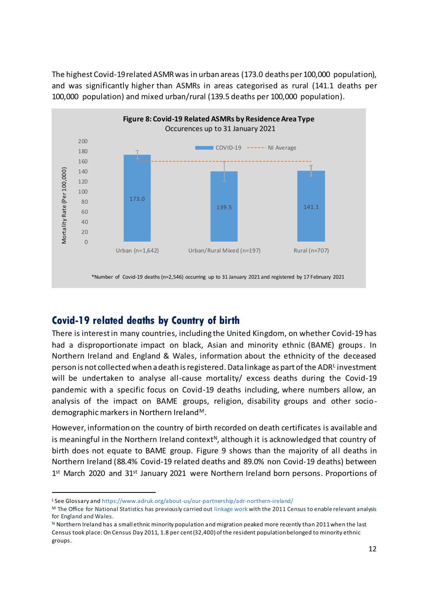The highest Covid-19 related ASMR was in urban areas (173.0 deaths per 100,000 population), and was significantly higher than ASMRs in areas categorised as rural (141.1 deaths per 100,000 population) and mixed urban/rural (139.5 deaths per 100,000 population).



# <span id="page-11-0"></span>**Covid-19 related deaths by Country of birth**

There is interest in many countries, including the United Kingdom, on whether Covid-19 has had a disproportionate impact on black, Asian and minority ethnic (BAME) groups. In Northern Ireland and England & Wales, information about the ethnicity of the deceased person is not collected when a death is registered. Data linkage as part of the ADR<sup>L</sup> investment will be undertaken to analyse all-cause mortality/ excess deaths during the Covid-19 pandemic with a specific focus on Covid-19 deaths including, where numbers allow, an analysis of the impact on BAME groups, religion, disability groups and other sociodemographic markers in Northern Ireland<sup>M</sup>.

However, information on the country of birth recorded on death certificates is available and is meaningful in the Northern Ireland context<sup>N</sup>, although it is acknowledged that country of birth does not equate to BAME group. Figure 9 shows than the majority of all deaths in Northern Ireland (88.4% Covid-19 related deaths and 89.0% non Covid-19 deaths) between 1<sup>st</sup> March 2020 and 31<sup>st</sup> January 2021 were Northern Ireland born persons. Proportions of

<sup>L</sup> See Glossary an[d https://www.adruk.org/about-us/our-partnership/adr-northern-ireland/](https://www.adruk.org/about-us/our-partnership/adr-northern-ireland/)

<sup>M</sup> The Office for National Statistics has previously carried ou[t linkage work](https://www.ons.gov.uk/peoplepopulationandcommunity/birthsdeathsandmarriages/deaths/articles/coronavirusrelateddeathsbyethnicgroupenglandandwales/2march2020to10april2020) with the 2011 Census to enable relevant analysis for England and Wales.

 $N$  Northern Ireland has a small ethnic minority population and migration peaked more recently than 2011 when the last Census took place: On Census Day 2011, 1.8 per cent (32,400) of the resident population belonged to minority ethnic groups.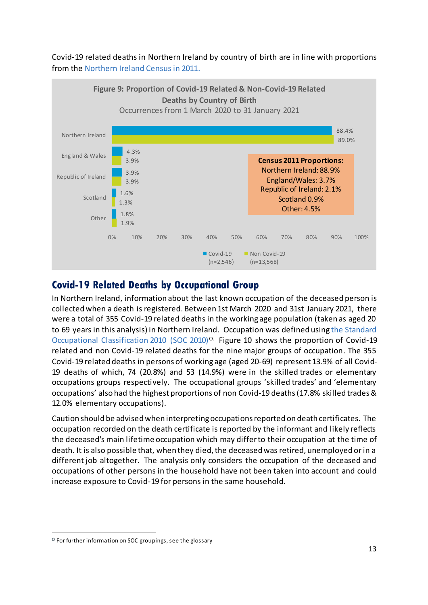Covid-19 related deaths in Northern Ireland by country of birth are in line with proportions from the [Northern Ireland Census in 2011.](https://www.nisra.gov.uk/sites/nisra.gov.uk/files/publications/2011-census-results-detailed-characteristics-statistics-bulletin-28-june-2013.pdf)



# <span id="page-12-0"></span>**Covid-19 Related Deaths by Occupational Group**

In Northern Ireland, information about the last known occupation of the deceased person is collected when a death is registered. Between 1st March 2020 and 31st January 2021, there were a total of 355 Covid-19 related deaths in the working age population (taken as aged 20 to 69 years in this analysis) in Northern Ireland. [Occupation](https://www.ons.gov.uk/peoplepopulationandcommunity/healthandsocialcare/causesofdeath/bulletins/coronaviruscovid19relateddeathsbyoccupationenglandandwales/deathsregisteredbetween9marchand28december2020#glossary) was defined using the [Standard](https://www.ons.gov.uk/methodology/classificationsandstandards/standardoccupationalclassificationsoc/soc2010/soc2010volume1structureanddescriptionsofunitgroups)  [Occupational Classification 2010 \(SOC 2010\)](https://www.ons.gov.uk/methodology/classificationsandstandards/standardoccupationalclassificationsoc/soc2010/soc2010volume1structureanddescriptionsofunitgroups)<sup>O.</sup> Figure 10 shows the proportion of Covid-19 related and non Covid-19 related deaths for the nine major groups of occupation. The 355 Covid-19 related deaths in persons of working age (aged 20-69) represent 13.9% of all Covid-19 deaths of which, 74 (20.8%) and 53 (14.9%) were in the skilled trades or elementary occupations groups respectively. The occupational groups 'skilled trades' and 'elementary occupations' also had the highest proportions of non Covid-19 deaths(17.8% skilled trades & 12.0% elementary occupations).

Caution should be advised when interpreting occupations reported on death certificates. The occupation recorded on the death certificate is reported by the informant and likely reflects the deceased's main lifetime occupation which may differ to their occupation at the time of death. It is also possible that, when they died, the deceased was retired, unemployed or in a different job altogether. The analysis only considers the occupation of the deceased and occupations of other persons in the household have not been taken into account and could increase exposure to Covid-19 for persons in the same household.

 $^{\circ}$  For further information on SOC groupings, see the glossary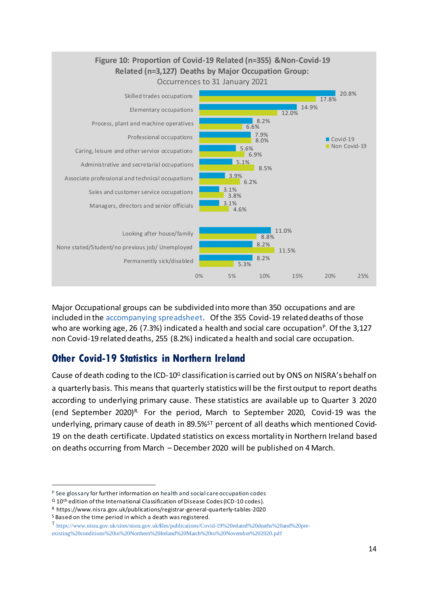

Major Occupational groups can be subdivided into more than 350 occupations and are included in the [accompanying spreadsheet.](https://www.nisra.gov.uk/publications/covid-19-related-deaths-northern-ireland) Of the 355 Covid-19 related deaths of those who are working age, 26 (7.3%) indicated a health and social care occupation<sup>p</sup>. Of the 3,127 non Covid-19 related deaths, 255 (8.2%) indicated a health and social care occupation.

# <span id="page-13-0"></span>**Other Covid-19 Statistics in Northern Ireland**

Cause of death coding to the ICD-10 $Q$  classification is carried out by ONS on NISRA's behalf on a quarterly basis. This means that quarterly statistics will be the first output to report deaths according to underlying primary cause. These statistics are [available up to](https://www.nisra.gov.uk/sites/nisra.gov.uk/files/publications/STATISTICS%20PRESS%20NOTICE%20%E2%80%93%20REGISTRAR%20GENERAL%20QUARTERLY%20REPORT%2C%20Q2%202020.pdf) Quarter 3 2020 (end September 2020) R. For the period, March to September 2020, Covid-19 was the underlying, primary cause of death in 89.5%<sup>ST</sup> percent of all deaths which mentioned Covid-19 on the death certificate. Updated statistics on excess mortality in Northern Ireland based on deaths occurring from March – December 2020 will be published on 4 March.

<sup>P</sup> See glossary for further information on health and social care occupation codes

 $Q$  10<sup>th</sup> edition of the International Classification of Disease Codes (ICD-10 codes).

<sup>R</sup> https://www.nisra.gov.uk/publications/registrar-general-quarterly-tables-2020

<sup>S</sup> Based on the time period in which a death was registered.

T [https://www.nisra.gov.uk/sites/nisra.gov.uk/files/publications/Covid-19%20related%20deaths%20and%20pre-](https://www.nisra.gov.uk/sites/nisra.gov.uk/files/publications/Covid-19%20related%20deaths%20and%20pre-existing%20conditions%20in%20Northern%20Ireland%20March%20to%20November%202020.pdf)

[existing%20conditions%20in%20Northern%20Ireland%20March%20to%20November%202020.pdf](https://www.nisra.gov.uk/sites/nisra.gov.uk/files/publications/Covid-19%20related%20deaths%20and%20pre-existing%20conditions%20in%20Northern%20Ireland%20March%20to%20November%202020.pdf)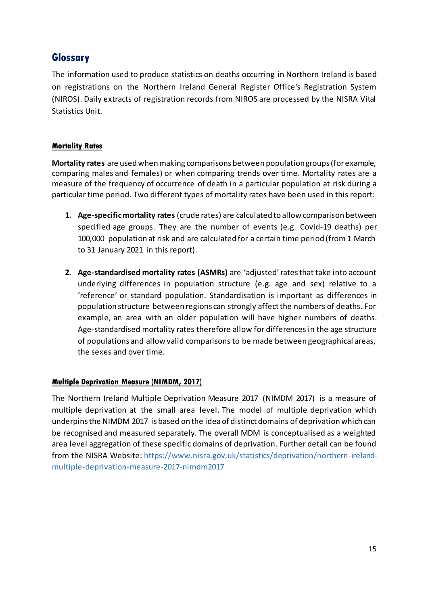# <span id="page-14-0"></span>**Glossary**

The information used to produce statistics on deaths occurring in Northern Ireland is based on registrations on the Northern Ireland General Register Office's Registration System (NIROS). Daily extracts of registration records from NIROS are processed by the NISRA Vital Statistics Unit.

### **Mortality Rates**

**Mortality rates** are used when making comparisons between population groups (for example, comparing males and females) or when comparing trends over time. Mortality rates are a measure of the frequency of occurrence of death in a particular population at risk during a particular time period. Two different types of mortality rates have been used in this report:

- **1. Age-specific mortality rates** (crude rates) are calculated to allow comparison between specified age groups. They are the number of events (e.g. Covid-19 deaths) per 100,000 population at risk and are calculated for a certain time period (from 1 March to 31 January 2021 in this report).
- **2. Age-standardised mortality rates (ASMRs)** are 'adjusted' rates that take into account underlying differences in population structure (e.g. age and sex) relative to a 'reference' or standard population. Standardisation is important as differences in population structure between regions can strongly affect the numbers of deaths. For example, an area with an older population will have higher numbers of deaths. Age-standardised mortality rates therefore allow for differences in the age structure of populations and allow valid comparisons to be made between geographical areas, the sexes and over time.

### **Multiple Deprivation Measure (NIMDM, 2017)**

The Northern Ireland Multiple Deprivation Measure 2017 (NIMDM 2017) is a measure of multiple deprivation at the small area level. The model of multiple deprivation which underpins the NIMDM 2017 is based on the idea of distinct domains of deprivation which can be recognised and measured separately. The overall MDM is conceptualised as a weighted area level aggregation of these specific domains of deprivation. Further detail can be found from the NISRA Website: [https://www.nisra.gov.uk/statistics/deprivation/northern-ireland](https://www.nisra.gov.uk/statistics/deprivation/northern-ireland-multiple-deprivation-measure-2017-nimdm2017)[multiple-deprivation-measure-2017-nimdm2017](https://www.nisra.gov.uk/statistics/deprivation/northern-ireland-multiple-deprivation-measure-2017-nimdm2017)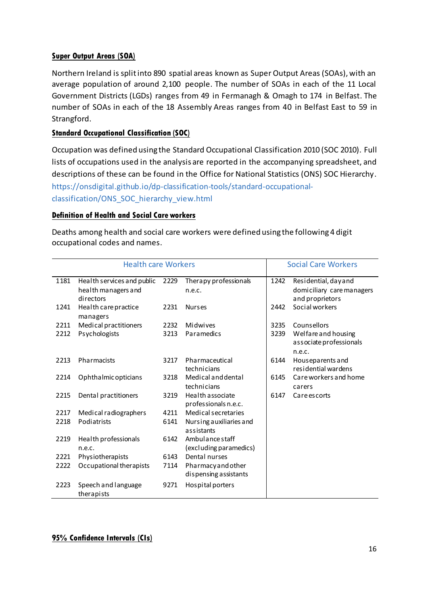#### **Super Output Areas (SOA)**

Northern Ireland is split into 890 spatial areas known as Super Output Areas (SOAs), with an average population of around 2,100 people. The number of SOAs in each of the 11 Local Government Districts (LGDs) ranges from 49 in Fermanagh & Omagh to 174 in Belfast. The number of SOAs in each of the 18 Assembly Areas ranges from 40 in Belfast East to 59 in Strangford.

#### **Standard Occupational Classification (SOC)**

Occupation was defined using th[e Standard Occupational Classification 2010 \(SOC](https://www.ons.gov.uk/methodology/classificationsandstandards/standardoccupationalclassificationsoc/soc2010/soc2010volume1structureanddescriptionsofunitgroups) 2010). Full lists of occupations used in the analysis are reported in the accompanying spreadsheet, and descriptions of these can be found in the [Office for National Statistics \(ONS\) SOC Hierarchy.](https://onsdigital.github.io/dp-classification-tools/standard-occupational-classification/ONS_SOC_hierarchy_view.html) [https://onsdigital.github.io/dp-classification-tools/standard-occupational](https://onsdigital.github.io/dp-classification-tools/standard-occupational-classification/ONS_SOC_hierarchy_view.html)[classification/ONS\\_SOC\\_hierarchy\\_view.html](https://onsdigital.github.io/dp-classification-tools/standard-occupational-classification/ONS_SOC_hierarchy_view.html)

#### **Definition of Health and Social Care workers**

Deaths among health and social care workers were defined using the following 4 digit occupational codes and names.

| <b>Health care Workers</b> |                                                                |      |                                             |      | <b>Social Care Workers</b>                                          |  |
|----------------------------|----------------------------------------------------------------|------|---------------------------------------------|------|---------------------------------------------------------------------|--|
| 1181                       | Health services and public<br>health managers and<br>directors | 2229 | Therapy professionals<br>n.e.c.             | 1242 | Residential, dayand<br>domiciliary care managers<br>and proprietors |  |
| 1241                       | Health care practice<br>managers                               | 2231 | <b>Nurses</b>                               | 2442 | Social workers                                                      |  |
| 2211                       | Medical practitioners                                          | 2232 | Midwives                                    | 3235 | Counsellors                                                         |  |
| 2212                       | Psychologists                                                  | 3213 | Paramedics                                  | 3239 | Welfare and housing<br>associate professionals<br>n.e.c.            |  |
| 2213                       | Pharmacists                                                    | 3217 | Pharmaceutical<br>technicians               | 6144 | Houseparents and<br>residential wardens                             |  |
| 2214                       | Ophthalmic opticians                                           | 3218 | Medical and dental<br>technicians           | 6145 | Care workers and home<br>carers                                     |  |
| 2215                       | Dental practitioners                                           | 3219 | Health associate<br>professionals n.e.c.    | 6147 | Careescorts                                                         |  |
| 2217                       | Medical radiographers                                          | 4211 | Medical secretaries                         |      |                                                                     |  |
| 2218                       | Podiatrists                                                    | 6141 | Nursing auxiliaries and<br>assistants       |      |                                                                     |  |
| 2219                       | Health professionals<br>n.e.c.                                 | 6142 | Ambulance staff<br>(excluding paramedics)   |      |                                                                     |  |
| 2221                       | Physiotherapists                                               | 6143 | Dental nurses                               |      |                                                                     |  |
| 2222                       | Occupational therapists                                        | 7114 | Pharmacy and other<br>dispensing assistants |      |                                                                     |  |
| 2223                       | Speech and language<br>therapists                              | 9271 | Hospital porters                            |      |                                                                     |  |

#### **95% Confidence Intervals (CIs)**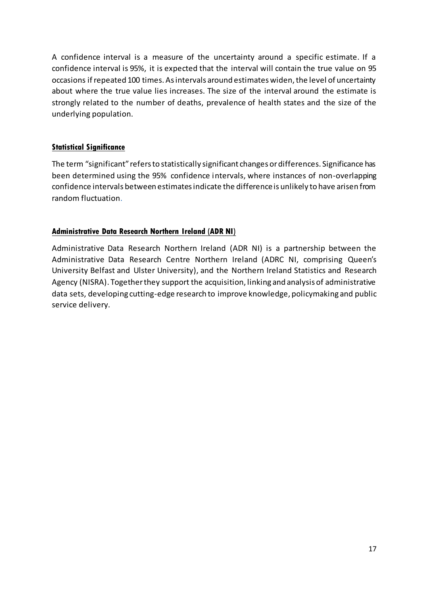A confidence interval is a measure of the uncertainty around a specific estimate. If a confidence interval is 95%, it is expected that the interval will contain the true value on 95 occasions if repeated 100 times. As intervals around estimates widen, the level of uncertainty about where the true value lies increases. The size of the interval around the estimate is strongly related to the number of deaths, prevalence of health states and the size of the underlying population.

#### **Statistical Significance**

The term "significant" refers to statistically significant changes or differences. Significance has been determined using the 95% confidence intervals, where instances of non-overlapping confidence intervals between estimates indicate the difference is unlikely to have arisen from random fluctuation.

#### **Administrative Data Research Northern Ireland (ADR NI)**

<span id="page-16-0"></span>Administrative Data Research Northern Ireland (ADR NI) is a partnership between the Administrative Data Research Centre Northern Ireland (ADRC NI, comprising [Queen's](http://www.qub.ac.uk/)  [University Belfast](http://www.qub.ac.uk/) and [Ulster University\)](http://www.ulster.ac.uk/), and the [Northern Ireland Statistics and Research](https://www.nisra.gov.uk/)  [Agency \(NISRA\)](https://www.nisra.gov.uk/). Together they support the acquisition, linking and analysis of administrative data sets, developing cutting-edge research to improve knowledge, policymaking and public service delivery.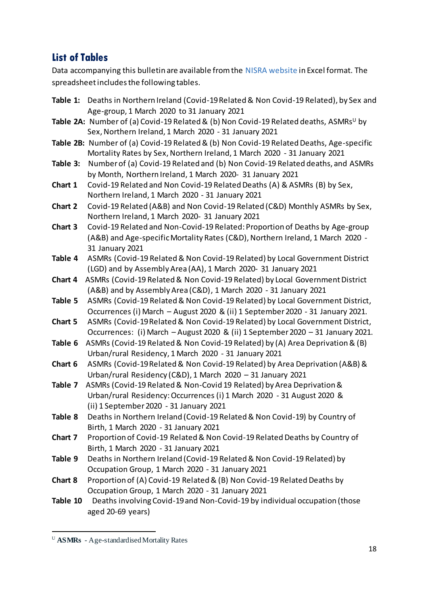# **List of Tables**

Data accompanying this bulletin are available from the [NISRA website](https://www.nisra.gov.uk/publications/covid-19-related-deaths-northern-ireland) in Excel format. The spreadsheet includes the following tables.

|          | Table 1: Deaths in Northern Ireland (Covid-19 Related & Non Covid-19 Related), by Sex and         |
|----------|---------------------------------------------------------------------------------------------------|
|          | Age-group, 1 March 2020 to 31 January 2021                                                        |
|          | Table 2A: Number of (a) Covid-19 Related & (b) Non Covid-19 Related deaths, ASMRs <sup>u</sup> by |
|          | Sex, Northern Ireland, 1 March 2020 - 31 January 2021                                             |
|          | Table 2B: Number of (a) Covid-19 Related & (b) Non Covid-19 Related Deaths, Age-specific          |
|          | Mortality Rates by Sex, Northern Ireland, 1 March 2020 - 31 January 2021                          |
| Table 3: | Number of (a) Covid-19 Related and (b) Non Covid-19 Related deaths, and ASMRs                     |
|          | by Month, Northern Ireland, 1 March 2020- 31 January 2021                                         |
| Chart 1  | Covid-19 Related and Non Covid-19 Related Deaths (A) & ASMRs (B) by Sex,                          |
|          | Northern Ireland, 1 March 2020 - 31 January 2021                                                  |
| Chart 2  | Covid-19 Related (A&B) and Non Covid-19 Related (C&D) Monthly ASMRs by Sex,                       |
|          | Northern Ireland, 1 March 2020- 31 January 2021                                                   |
| Chart 3  | Covid-19 Related and Non-Covid-19 Related: Proportion of Deaths by Age-group                      |
|          | (A&B) and Age-specific Mortality Rates (C&D), Northern Ireland, 1 March 2020 -                    |
|          | 31 January 2021                                                                                   |
| Table 4  | ASMRs (Covid-19 Related & Non Covid-19 Related) by Local Government District                      |
|          | (LGD) and by Assembly Area (AA), 1 March 2020-31 January 2021                                     |
| Chart 4  | ASMRs (Covid-19 Related & Non Covid-19 Related) by Local Government District                      |
|          | (A&B) and by Assembly Area (C&D), 1 March 2020 - 31 January 2021                                  |
| Table 5  | ASMRs (Covid-19 Related & Non Covid-19 Related) by Local Government District,                     |
|          | Occurrences (i) March - August 2020 & (ii) 1 September 2020 - 31 January 2021.                    |
| Chart 5  | ASMRs (Covid-19 Related & Non Covid-19 Related) by Local Government District,                     |
|          | Occurrences: (i) March - August 2020 & (ii) 1 September 2020 - 31 January 2021.                   |
| Table 6  | ASMRs (Covid-19 Related & Non Covid-19 Related) by (A) Area Deprivation & (B)                     |
|          | Urban/rural Residency, 1 March 2020 - 31 January 2021                                             |
| Chart 6  | ASMRs (Covid-19 Related & Non Covid-19 Related) by Area Deprivation (A&B) &                       |
|          | Urban/rural Residency (C&D), 1 March 2020 - 31 January 2021                                       |
| Table 7  | ASMRs (Covid-19 Related & Non-Covid 19 Related) by Area Deprivation &                             |
|          | Urban/rural Residency: Occurrences (i) 1 March 2020 - 31 August 2020 &                            |
|          | (ii) 1 September 2020 - 31 January 2021                                                           |
| Table 8  | Deaths in Northern Ireland (Covid-19 Related & Non Covid-19) by Country of                        |
|          | Birth, 1 March 2020 - 31 January 2021                                                             |
| Chart 7  | Proportion of Covid-19 Related & Non Covid-19 Related Deaths by Country of                        |
|          | Birth, 1 March 2020 - 31 January 2021                                                             |
| Table 9  | Deaths in Northern Ireland (Covid-19 Related & Non Covid-19 Related) by                           |
|          | Occupation Group, 1 March 2020 - 31 January 2021                                                  |
| Chart 8  | Proportion of (A) Covid-19 Related & (B) Non Covid-19 Related Deaths by                           |
|          | Occupation Group, 1 March 2020 - 31 January 2021                                                  |
| Table 10 | Deaths involving Covid-19 and Non-Covid-19 by individual occupation (those                        |
|          | aged 20-69 years)                                                                                 |
|          |                                                                                                   |

<sup>U</sup> **ASMRs** - Age-standardised Mortality Rates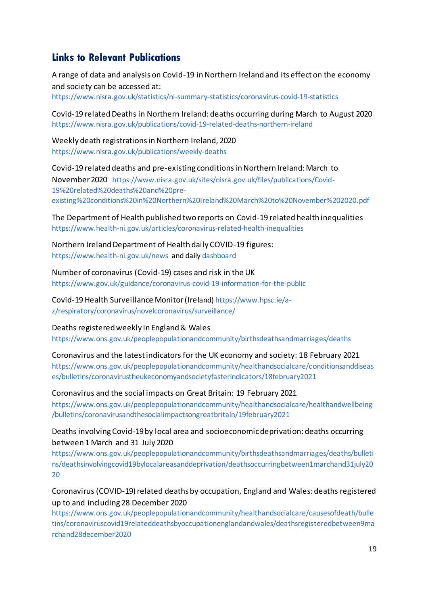# **Links to Relevant Publications**

A range of data and analysis on Covid-19 in Northern Ireland and its effect on the economy and society can be accessed at: <https://www.nisra.gov.uk/statistics/ni-summary-statistics/coronavirus-covid-19-statistics>

Covid-19 related Deaths in Northern Ireland: deaths occurring during March to August 2020 <https://www.nisra.gov.uk/publications/covid-19-related-deaths-northern-ireland>

Weekly death registrations in Northern Ireland, 2020 <https://www.nisra.gov.uk/publications/weekly-deaths>

Covid-19 related deaths and pre-existing conditions in Northern Ireland: March to November 2020 https://www.nisra.gov.uk/sites/nisra.gov.uk/files/publications/Covid-19%20related%20deaths%20and%20preexisting%20conditions%20in%20Northern%20Ireland%20March%20to%20November%202020.pdf

The Department of Health published two reports on Covid-19 related health inequalities <https://www.health-ni.gov.uk/articles/coronavirus-related-health-inequalities>

Northern Ireland Department of Health daily COVID-19 figures: <https://www.health-ni.gov.uk/news>and daily [dashboard](https://www.health-ni.gov.uk/articles/covid-19-daily-dashboard-updates)

Number of coronavirus (Covid-19) cases and risk in the UK <https://www.gov.uk/guidance/coronavirus-covid-19-information-for-the-public>

Covid-19 Health Surveillance Monitor (Ireland) [https://www.hpsc.ie/a](https://www.hpsc.ie/a-z/respiratory/coronavirus/novelcoronavirus/surveillance/)[z/respiratory/coronavirus/novelcoronavirus/surveillance/](https://www.hpsc.ie/a-z/respiratory/coronavirus/novelcoronavirus/surveillance/)

Deaths registered weekly in England & Wales

<https://www.ons.gov.uk/peoplepopulationandcommunity/birthsdeathsandmarriages/deaths>

Coronavirus and the latest indicators for the UK economy and society: 18 February 2021

[https://www.ons.gov.uk/peoplepopulationandcommunity/healthandsocialcare/conditionsanddiseas](https://www.ons.gov.uk/peoplepopulationandcommunity/healthandsocialcare/conditionsanddiseases/bulletins/coronavirustheukeconomyandsocietyfasterindicators/18february2021) [es/bulletins/coronavirustheukeconomyandsocietyfasterindicators/18february2021](https://www.ons.gov.uk/peoplepopulationandcommunity/healthandsocialcare/conditionsanddiseases/bulletins/coronavirustheukeconomyandsocietyfasterindicators/18february2021)

Coronavirus and the social impacts on Great Britain: 19 February 2021 [https://www.ons.gov.uk/peoplepopulationandcommunity/healthandsocialcare/healthandwellbeing](https://www.ons.gov.uk/peoplepopulationandcommunity/healthandsocialcare/healthandwellbeing/bulletins/coronavirusandthesocialimpactsongreatbritain/19february2021) [/bulletins/coronavirusandthesocialimpactsongreatbritain/19february2021](https://www.ons.gov.uk/peoplepopulationandcommunity/healthandsocialcare/healthandwellbeing/bulletins/coronavirusandthesocialimpactsongreatbritain/19february2021)

Deaths involving Covid-19 by local area and socioeconomic deprivation: deaths occurring between 1 March and 31 July 2020

[https://www.ons.gov.uk/peoplepopulationandcommunity/birthsdeathsandmarriages/deaths/bulleti](https://www.ons.gov.uk/peoplepopulationandcommunity/birthsdeathsandmarriages/deaths/bulletins/deathsinvolvingcovid19bylocalareasanddeprivation/deathsoccurringbetween1marchand31july2020) [ns/deathsinvolvingcovid19bylocalareasanddeprivation/deathsoccurringbetween1marchand31july20](https://www.ons.gov.uk/peoplepopulationandcommunity/birthsdeathsandmarriages/deaths/bulletins/deathsinvolvingcovid19bylocalareasanddeprivation/deathsoccurringbetween1marchand31july2020) [20](https://www.ons.gov.uk/peoplepopulationandcommunity/birthsdeathsandmarriages/deaths/bulletins/deathsinvolvingcovid19bylocalareasanddeprivation/deathsoccurringbetween1marchand31july2020)

Coronavirus (COVID-19) related deaths by occupation, England and Wales: deaths registered up to and including 28 December 2020

[https://www.ons.gov.uk/peoplepopulationandcommunity/healthandsocialcare/causesofdeath/bulle](https://www.ons.gov.uk/peoplepopulationandcommunity/healthandsocialcare/causesofdeath/bulletins/coronaviruscovid19relateddeathsbyoccupationenglandandwales/deathsregisteredbetween9marchand28december2020) [tins/coronaviruscovid19relateddeathsbyoccupationenglandandwales/deathsregisteredbetween9ma](https://www.ons.gov.uk/peoplepopulationandcommunity/healthandsocialcare/causesofdeath/bulletins/coronaviruscovid19relateddeathsbyoccupationenglandandwales/deathsregisteredbetween9marchand28december2020) [rchand28december2020](https://www.ons.gov.uk/peoplepopulationandcommunity/healthandsocialcare/causesofdeath/bulletins/coronaviruscovid19relateddeathsbyoccupationenglandandwales/deathsregisteredbetween9marchand28december2020)